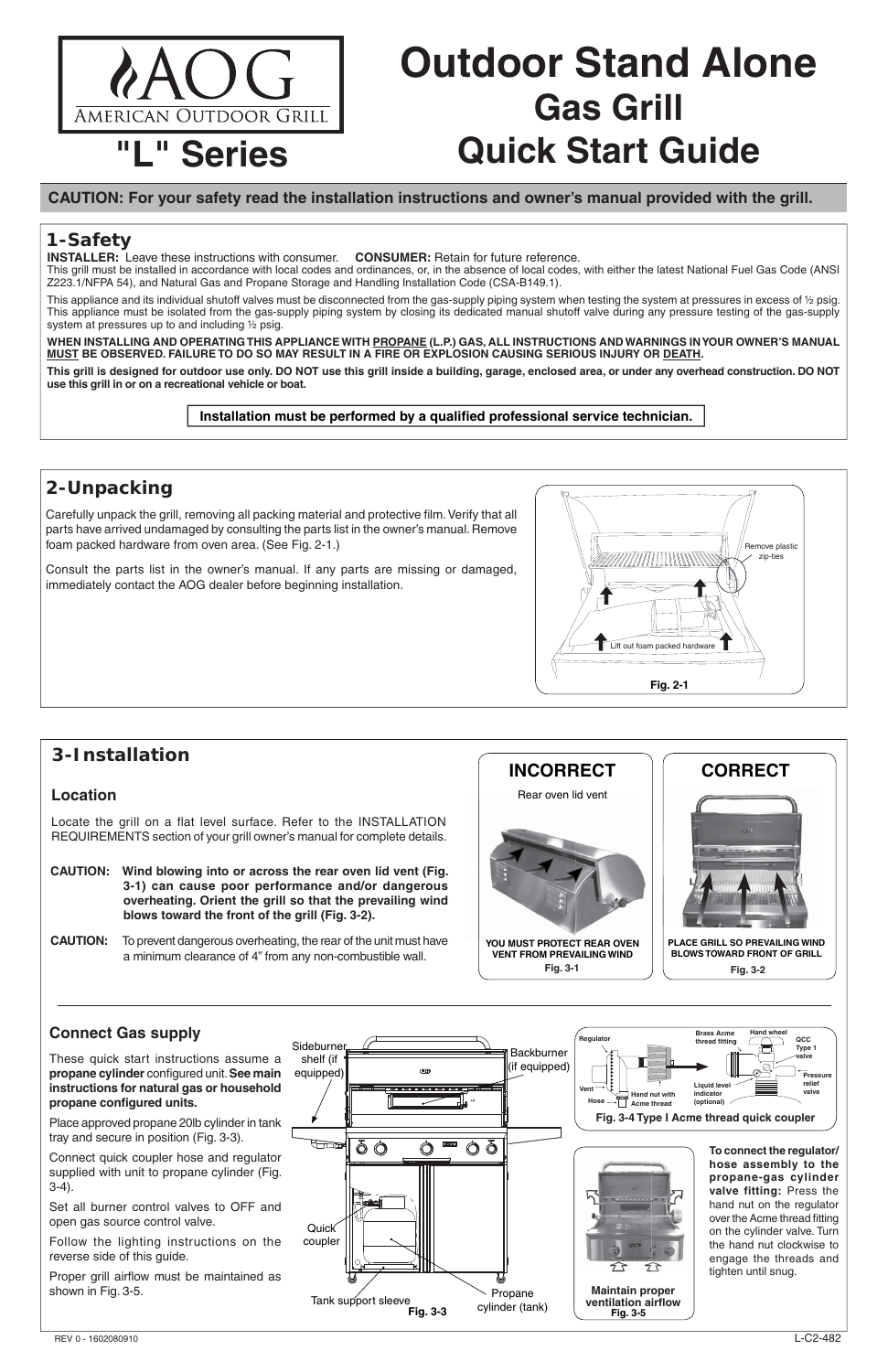# **Outdoor Stand Alone Gas Grill Quick Start Guide**

**INSTALLER:** Leave these instructions with consumer. **CONSUMER:** Retain for future reference.

#### **CAUTION: For your safety read the installation instructions and owner's manual provided with the grill.**

This grill must be installed in accordance with local codes and ordinances, or, in the absence of local codes, with either the latest National Fuel Gas Code (ANSI Z223.1/NFPA 54), and Natural Gas and Propane Storage and Handling Installation Code (CSA-B149.1).

This appliance and its individual shutoff valves must be disconnected from the gas-supply piping system when testing the system at pressures in excess of 1/2 psig. This appliance must be isolated from the gas-supply piping system by closing its dedicated manual shutoff valve during any pressure testing of the gas-supply system at pressures up to and including ½ psig.

Carefully unpack the grill, removing all packing material and protective film. Verify that all parts have arrived undamaged by consulting the parts list in the owner's manual. Remove foam packed hardware from oven area. (See Fig. 2-1.)

**WHEN INSTALLING AND OPERATING THIS APPLIANCE WITH PROPANE (L.P.) GAS, ALL INSTRUCTIONS AND WARNINGS IN YOUR OWNER'S MANUAL MUST BE OBSERVED. FAILURE TO DO SO MAY RESULT IN A FIRE OR EXPLOSION CAUSING SERIOUS INJURY OR DEATH.**

**This grill is designed for outdoor use only. DO NOT use this grill inside a building, garage, enclosed area, or under any overhead construction. DO NOT use this grill in or on a recreational vehicle or boat.**

Installation must be performed by a qualified professional service technician.

# **2-Unpacking**

These quick start instructions assume a **propane cylinder** configured unit. See main **instructions for natural gas or household**  propane configured units.

Consult the parts list in the owner's manual. If any parts are missing or damaged, immediately contact the AOG dealer before beginning installation.

Proper grill airflow must be maintained as shown in Fig. 3-5.

## **1-Safety**



# **3-Installation**

#### **Location**

Locate the grill on a flat level surface. Refer to the INSTALLATION REQUIREMENTS section of your grill owner's manual for complete details.

- **CAUTION: Wind blowing into or across the rear oven lid vent (Fig. 3-1) can cause poor performance and/or dangerous overheating. Orient the grill so that the prevailing wind blows toward the front of the grill (Fig. 3-2).**
- **CAUTION:** To prevent dangerous overheating, the rear of the unit must have a minimum clearance of 4" from any non-combustible wall.

## **Connect Gas supply**

Place approved propane 20lb cylinder in tank tray and secure in position (Fig. 3-3).

Connect quick coupler hose and regulator supplied with unit to propane cylinder (Fig. 3-4).

Set all burner control valves to OFF and open gas source control valve.



Follow the lighting instructions on the reverse side of this guide.